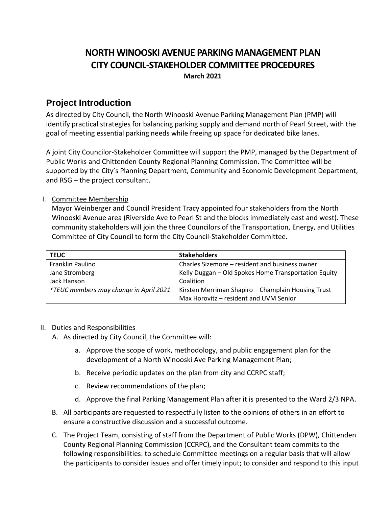# **NORTH WINOOSKI AVENUE PARKING MANAGEMENT PLAN CITY COUNCIL-STAKEHOLDER COMMITTEE PROCEDURES March 2021**

## **Project Introduction**

As directed by City Council, the North Winooski Avenue Parking Management Plan (PMP) will identify practical strategies for balancing parking supply and demand north of Pearl Street, with the goal of meeting essential parking needs while freeing up space for dedicated bike lanes.

A joint City Councilor-Stakeholder Committee will support the PMP, managed by the Department of Public Works and Chittenden County Regional Planning Commission. The Committee will be supported by the City's Planning Department, Community and Economic Development Department, and RSG – the project consultant.

## I. Committee Membership

Mayor Weinberger and Council President Tracy appointed four stakeholders from the North Winooski Avenue area (Riverside Ave to Pearl St and the blocks immediately east and west). These community stakeholders will join the three Councilors of the Transportation, Energy, and Utilities Committee of City Council to form the City Council-Stakeholder Committee.

| <b>TEUC</b>                                   | <b>Stakeholders</b>                                  |
|-----------------------------------------------|------------------------------------------------------|
| Franklin Paulino                              | Charles Sizemore - resident and business owner       |
| Jane Stromberg                                | Kelly Duggan - Old Spokes Home Transportation Equity |
| Jack Hanson                                   | Coalition                                            |
| <i>*TEUC members may change in April 2021</i> | Kirsten Merriman Shapiro - Champlain Housing Trust   |
|                                               | Max Horovitz - resident and UVM Senior               |

## II. Duties and Responsibilities

- A. As directed by City Council, the Committee will:
	- a. Approve the scope of work, methodology, and public engagement plan for the development of a North Winooski Ave Parking Management Plan;
	- b. Receive periodic updates on the plan from city and CCRPC staff;
	- c. Review recommendations of the plan;
	- d. Approve the final Parking Management Plan after it is presented to the Ward 2/3 NPA.
- B. All participants are requested to respectfully listen to the opinions of others in an effort to ensure a constructive discussion and a successful outcome.
- C. The Project Team, consisting of staff from the Department of Public Works (DPW), Chittenden County Regional Planning Commission (CCRPC), and the Consultant team commits to the following responsibilities: to schedule Committee meetings on a regular basis that will allow the participants to consider issues and offer timely input; to consider and respond to this input